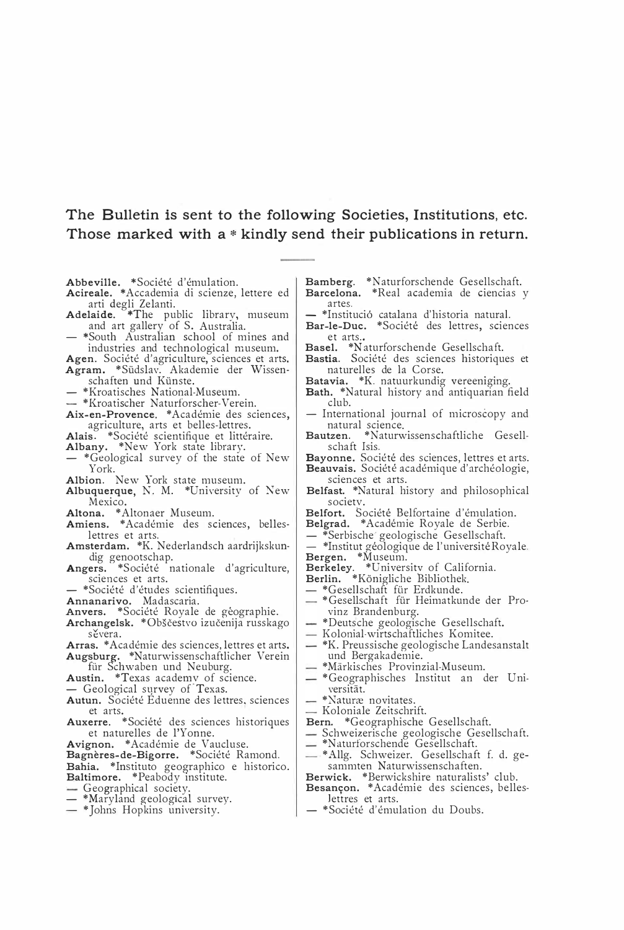## The Bulletin is sent to the following Societies, Institutions, etc. Those marked with a \* kindly send their publications in return.

Abbeville. \*Société d'émulation.

Acireale. \*Accademia di scienze, lettere ed arti degli Zelanti.<br>
Adelaide. \*The public library, museum

and art gallery of S. Australia.

- \*South Australian school of mines and industries and technological museum.

Agen. Société d'agriculture, sciences et arts. Agram. \*Südslav. Akademie der Wissen-<br>schaften und Künste.

\*Kroatisches National-Museum.

- \*Kroatischer Naturforscher-Verein.

Aix-en-Provence. \*Académie des sciences, agriculture, arts et belles-lettres.

Alais. \*Société scientifique et littéraire.

Albany. \*New York state library.

\*Geological survey of the state of New York.

Albion. New York state museum.

Albuquerque, N. M. \*University of New Mexico.

Altona. \* Altonaer Museum.

- Amiens. \* Académie des sciences, belleslettres et arts.
- Amsterdam. \* K. Nederlandsch aardrijkskundig genootschap.
- Angers. \*Société nationale d'agriculture, sciences et arts.
- \*Société d'études scientifiques.

Annanarivo. Madascaria.

- Anvers. \*Société Royale de géographie.
- Archangelsk. \* Obščestvo izučenija russkago sévera.

Arras. \* Académie des sciences, lettres et arts. Augsburg. \*Naturwissenschaftlicher Verein

für Schwaben und Neuburg.

Austin. \*Texas academy of science.

Geological survey of Texas.

- Autun. Société Eduenne des lettres, sciences et arts.
- Auxerre. \*Société des sciences historiques et naturelles de l'Yonne.

- Avignon. \*Académie de Vaucluse.<br>Bagnères-de-Bigorre. \*Société Ramond.
- Bahia. \*Instituto geographico e historico. Baltimore. \*Peabody institute.
- Geographical society.
- \*Maryland geological survey.
- \*Johns Hopkins university.
- Bamberg. \*Naturforschende Gesellschaft. Barcelona. \*Real academia de ciencias y artes.
- \*Institució catalana d'historia natural.
- Bar-le-Duc. \*Société des lettres, sciences et arts..
- Basel. \*Naturforschende Gesellschaft.
- Bastia. Société des sciences historiques et naturelles de la Corse.
- Batavia. \*K. natuurkundig vereeniging.
- Bath. \*Natural history and antiquarian field club.
- International journal of microscopy and natural science.
- Bautzen. \*Naturwissenschaftliche Gesellschaft Isis.<br>Bayonne. Société des sciences, lettres et arts.
- Beauvais. Société académique d'archéologie,
- sciences et arts.
- Belfast. \*Natural history and philosophical societv.

Belfort. Société Belfortaine d'émulation.<br>Belgrad. \*Académie Royale de Serbie.

– \*Serbische geologische Gesellschaft.<br>– \*Institut géologique de l'universitéRoyale. Bergen. \*Nuseum.<br>Berkeley. \*University of California.<br>Berkeley. \*University of California.

- \*Gesellschaft für Erdkunde.

- \*Gesellschaft für Heimatkunde der Provinz Brandenburg.
- \*Deutsche geologische Gesellschaft.
- Kolonial-wirtschaftliches Komitee.
- \*K. Preussische geologische Landesanstalt und Bergakademie.
- \*Märkisches Provinzial-Museum.
- \*Geographisches Institut an der Universität.

\*Naturæ novitates.

- Koloniale Zeitschrift.
- Bern. \*Geographische Gesellschaft.

- Schweizerische geologische Gesellschaft.

- \*Naturforschende Gesellschaft.
- -\*Allg. Schweizer. Gesellschaft f. d. gesammten Naturwissenschaften.
- Berwick. \*Berwickshire naturalists' club.
- Besançon. \* Académie des sciences, belleslettres et arts.
- \*Société d'émulation du Doubs.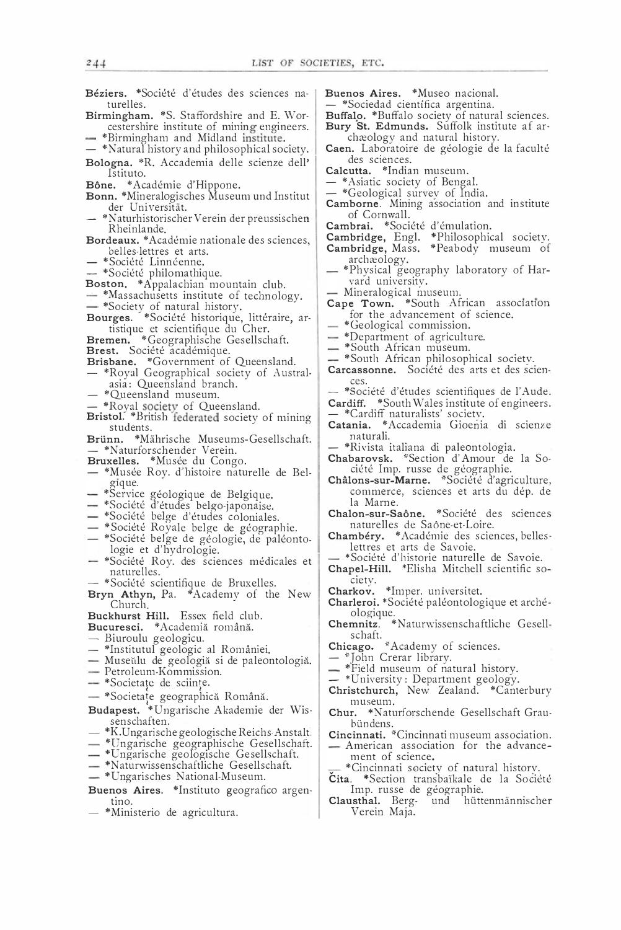- Béziers. \*Société d'études des sciences naturelles.
- Birmingham. \*S. Staffordshire and E. Worcestershire institute of mining engineers.
- \*Birmingham and Midland institute.
- \*Natural history and philosophical society. Bologna. \*R. Accademia delle scienze dell' Istituto.
- 
- Bône. \*Académie d'Hippone.<br>Bonn. \*Mineralogisches Museum und Institut der Universität.
- \*Naturhistorischer Verein der preussischen Rheinlande.
- Bordeaux. \*Académie nationale des sciences, belles-lettres et arts.
	- \*Société Linnéenne.
- 
- -- \*Société philomathique.<br>Boston. \*Appalachian mountain club.
- \*Massachusetts institute of technology.
- 
- \*Society of natural history.<br>Bourges. \*Société historique, littéraire, artistique et scientifique du Cher.<br>Bremen. \*Geographische Gesellschaft.
- 
- Brest. Société académique.
- Brisbane. \*Government of Queensland.
- \*Royal Geographical society of Australasia: Queensland branch.
- \*Queensland museum.
- 
- \*Royal society of Queensland.<br>Bristol. \*British federated society of mining students.
- Brünn. \*Mährische Museums-Gesellschaft.<br>-- \*Naturforschender Verein.
- Bruxelles. \*Musée du Congo.
- \*Musée Roy. d'histoire naturelle de Belgique.
- \*Service géologique de Belgique.
- \*Société d'études belgo-japonaise.
- \*Société belge d'études coloniales.
- \*Société Royale belge de géographie.
- \*Société belge de géologie, de paléontologie et d'hydrologie.
- \*Société Roy. des sciences médicales et naturelles.
- 

- \*Société scientifique de Bruxelles.<br>Bryn Athyn, Pa. \*Academy of the New Church.

Buckhurst Hill. Essex field club.

## Bucuresci. \* Academiă română.

- Biuroulu geologicu.
- \*Institutul geologic al României.
- Museŭlu de geologiă si de paleontologiă.
- Petroleum-Kommission.
- \*Societațe de sciințe.
- \*Societate geographică Română.
- Budapest. \*Ungarische Akademie der Wissenschaften.
- \*K. Ungarische geologische Reichs Anstalt.
- \*Ungarische geographische Gesellschaft.
- \*Ungarische geologische Gesellschaft.
- \*Naturwissenschaftliche Gesellschaft.
- \*Ungarisches National-Museum.
- Buenos Aires. \*Instituto geografico argentino.
- \*Ministerio de agricultura.
- Buenos Aires. \*Museo nacional.
- \*Sociedad científica argentina.
- Buffalo. \*Buffalo society of natural sciences. Bury St. Edmunds. Suffolk institute af ar-
- chæology and natural history. Caen. Laboratoire de géologie de la faculté des sciences.
- Calcutta. \*Indian museum.
- \*Asiatic society of Bengal.
- 
- \*Geological survey of India.<br>Camborne. Mining association and institute of Cornwall.
- Cambrai. \*Société d'émulation.
- 
- Cambridge, Engl. \*Philosophical society.<br>Cambridge, Mass. \*Peabody museum of archæology.
- \*Physical geography laboratory of Harvard university.
- Mineralogical museum.
- Cape Town. \*South African association for the advancement of science.
- \*Geological commission.
- \*Department of agriculture.
- \*South African museum.
- \*South African philosophical society.
- Carcassonne. Société des arts et des sciences.
- \*Société d'études scientifiques de l'Aude.
- Cardiff. \*South Wales institute of engineers.<br>
 \*Cardiff naturalists' society.
- 
- Catania. \* Accademia Gioenia di scienze naturali.
- \*Rivista italiana di paleontologia.
- Chabarovsk. \*Section d'Amour de la Société Imp. russe de géographie.
- Châlons-sur-Marne. \*Société d'agriculture, commerce, sciences et arts du dép. de la Marne.
- Chalon-sur-Saône. \*Société des sciences naturelles de Saône-et-Loire.
- Chambéry. \* Académie des sciences, belleslettres et arts de Savoie.
- \*Société d'historie naturelle de Savoie.<br>Chapel-Hill. \*Elisha Mitchell scientific so-
- ciety.
- Charkov. \*Imper. universitet.
- Charleroi. \*Société paléontologique et archéologique.
- Chemnitz. \*Naturwissenschaftliche Gesellschaft.
- Chicago. \* Academy of sciences.
- \*John Crerar library.
- \*Field museum of natural history.
- 
- \*University: Department geology.<br>
 \*University: Department geology.<br>
Christchurch, New Zealand. \*Canterbury museum.
- Chur. \*Naturforschende Gesellschaft Graubündens.<br>Cincinnati, \*Cincinnati museum association.
- 
- American association for the advancement of science.
- \*Cincinnati society of natural history.
- Cita. \*Section transbaïkale de la Société Imp. russe de géographie.
- Clausthal. Bergund hüttenmännischer Verein Maja.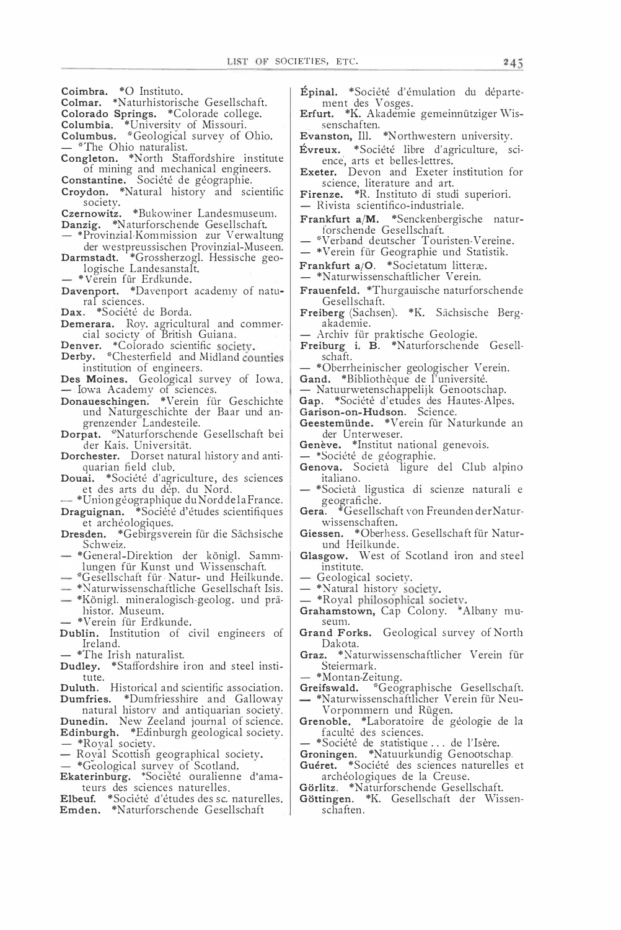- Coimbra. \* O Instituto.
- Colmar. \*Naturhistorische Gesellschaft.
- Colorado Springs. \*Colorade college.
- 

Columbia. \*University of Missouri.<br>Columbus. \*Geological survey of Ohio. \*The Ohio naturalist.

Congleton. \*North Staffordshire institute of mining and mechanical engineers.<br>Constantine. Société de géographie.<br>Croydon. \*Natural history and scientific

- 
- society.

Czernowitz. \*Bukowiner Landesmuseum. Danzig. \*Naturforschende Gesellschaft.

- \*Provinzial-Kommission zur Verwaltung
- der westpreussischen Provinzial-Museen. Darmstadt. \*Grossherzogl. Hessische geologische Landesanstalt.
	-
- \*Verein für Erdkunde.<br>Davenport. \*Davenport academy of natural sciences.
- Dax. \*Société de Borda.
- Demerara. Roy. agricultural and commer-<br>cial society of British Guiana.
- Denver. \*Colorado scientific society.<br>Derby. \*Chesterfield and Midland counties
- institution of engineers.

Des Moines. Geological survey of Iowa.<br>— Iowa Academy of sciences.<br>Donaueschingen. \*Verein für Geschichte

- und Naturgeschichte der Baar und angrenzender Landesteile.
- Dorpat. \*Naturforschende Gesellschaft bei der Kais. Universität.
- Dorchester. Dorset natural history and antiquarian field club.
- Douai. \*Société d'agriculture, des sciences<br>et des arts du dép. du Nord.
- \*Union géographique du Nord de la France.<br>Draguignan. \*Société d'études scientifiques
- et archéologiques.
- Dresden. \* Gebirgsverein für die Sächsische Schweiz.
- \*General-Direktion der königl. Sammlungen für Kunst und Wissenschaft.
- \*Gesellschaft für Natur- und Heilkunde.
- \*Naturwissenschaftliche Gesellschaft Isis.
- \*Königl. mineralogisch-geolog. und prähistor. Museum.
- \*Verein für Erdkunde.
- Dublin. Institution of civil engineers of Ireland.
	- \*The Irish naturalist.
- Dudley. \*Staffordshire iron and steel institute.

Duluth. Historical and scientific association. Dumfries. \*Dumfriesshire and Galloway natural history and antiquarian society.

- Dunedin. New Zeeland journal of science. Edinburgh. \*Edinburgh geological society.
- 
- \*Royal society.<br>- \*Royal society.<br>- Royal Scottish geographical society.
- 
- \*Geological survey of Scotland.<br>Ekaterinburg. \*Société ouralienne d'amateurs des sciences naturelles.
- Elbeuf. \*Société d'études des sc. naturelles.<br>Emden. \*Naturforschende Gesellschaft
- Épinal. \*Société d'émulation du département des Vosges.
- Erfurt. \*K. Akademie gemeinnütziger Wissenschaften.
- Evanston, Ill. \*Northwestern university.
- Evreux. \*Société libre d'agriculture, science, arts et belles-lettres.<br>Exeter. Devon and Exeter institution for
- science, literature and art.
- Firenze. \*R. Instituto di studi superiori.
- Rivista scientifico-industriale.
- Frankfurt a/M. \*Senckenbergische naturforschende Gesellschaft.
- \*Verband deutscher Touristen-Vereine.
- \*Verein für Geographie und Statistik.
- Frankfurt a/O. \*Societatum litteræ.
- \*Naturwissenschaftlicher Verein.
- Frauenfeld. \*Thurgauische naturforschende Gesellschaft.
- Freiberg (Sachsen). \*K. Sächsische Bergakademie.
- Archiv für praktische Geologie.
- Freiburg i. B. \*Naturforschende Gesellschaft.
- \*Oberrheinischer geologischer Verein.
- Gand. \*Bibliothèque de l'université.

— Natuurwetenschappelijk Genootschap.

Gap. \*Société d'etudes des Hautes-Alpes.

- Garison-on-Hudson. Science.
- Geestemünde. \*Verein für Naturkunde an der Unterweser.
- Genève. \*Institut national genevois.
- \*Société de géographie.
- Genova. Società ligure del Club alpino italiano.
- \*Società ligustica di scienze naturali e geografiche.
- Gera. \*Gesellschaft von Freunden der Naturwissenschaften.
- Giessen. \* Oberhess. Gesellschaft für Naturund Heilkunde.
- Glasgow. West of Scotland iron and steel institute.
	- Geological society.
- \*Natural history society.
- \*Royal philosophical society.
- Grahamstown, Cap Colony. \*Albany museum.
- Grand Forks. Geological survey of North Dakota.
- Graz. \*Naturwissenschaftlicher Verein für Steiermark.
- \*Montan-Zeitung.
- Greifswald. \*Geographische Gesellschaft.
- \*Naturwissenschaftlicher Verein für Neu-Vorpommern und Rügen.
- Grenoble, \*Laboratoire de géologie de la faculté des sciences.
- 
- \*Société de statistique ... de l'Isère.<br>Groningen. \*Natuurkundig Genootschap.
- Guéret. \*Société des sciences naturelles et archéologiques de la Creuse.
- Görlitz. \*Naturforschende Gesellschaft.
- Göttingen. \*K. Gesellschaft der Wissenschaften.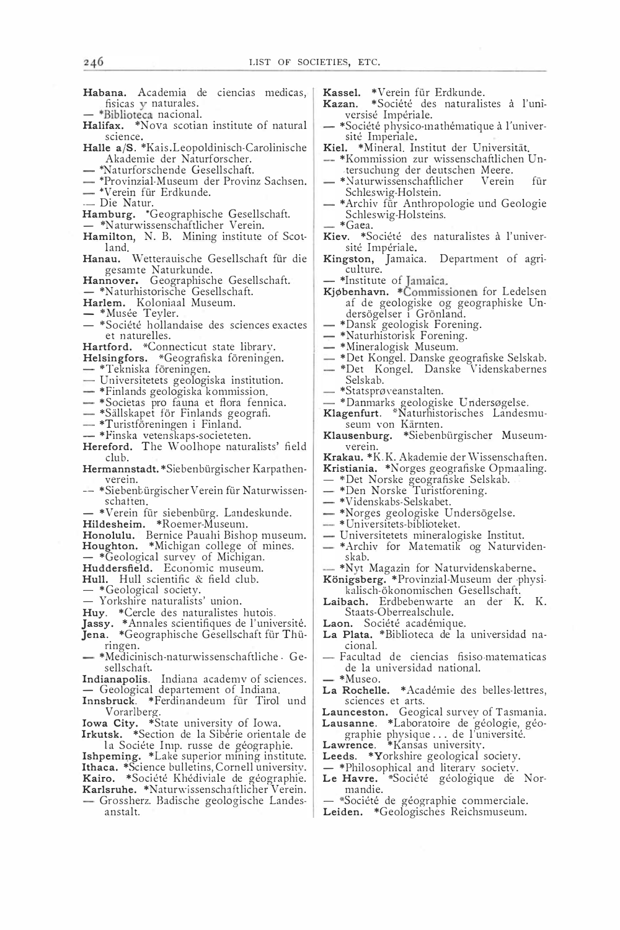Habana. Academia de ciencias medicas, fisicas y naturales.

- \*Biblioteca nacional.

- Halifax. \*Nova scotian institute of natural science.
- Halle a/S. \*Kais.Leopoldinisch-Carolinische Akademie der Naturforscher.
- \*Naturforschende Gesellschaft.
- \*Provinzial-Museum der Provinz Sachsen. - \*Verein für Erdkunde.
- Die Natur.
- 
- Hamburg. \*Geographische Gesellschaft. - \*Naturwissenschaftlicher Verein.
- Hamilton, N. B. Mining institute of Scot-
- land.
- Hanau. Wetterauische Gesellschaft für die gesamte Naturkunde.
- Hannover. Geographische Gesellschaft.
- \*Naturhistorische Gesellschaft.<br>Harlem. Koloniaal Museum.
- 
- \*Musée Teyler.
- \*Société hollandaise des sciences exactes et naturelles.
- Hartford. \*Connecticut state library.
- Helsingfors. \*Geografiska föreningen.
- \*Tekniska föreningen.
- Universitetets geologiska institution.
- \*Finlands geologiska kommission.
- \*Societas pro fauna et flora fennica.<br>- \*Sällskapet för Finlands geografi.
- 
- \*Turistföreningen i Finland.
- \*Finska vetenskaps-societeten.
- Hereford. The Woolhope naturalists' field club.
- Hermannstadt. \* Siebenbürgischer Karpathenverein.
- -- \*Siebent ürgischer Verein für Naturwissenschatten.
- \*Verein für siebenbürg. Landeskunde.
- Hildesheim. \*Roemer-Museum.
- Honolulu. Bernice Pauahi Bishop museum. Houghton. \*Michigan college of mines.
- \*Geological survey of Michigan.
- Huddersfield. Economic museum.
- Hull. Hull scientific & field club.
- \*Geological society.
- Yorkshire naturalists' union.
- Huy. \*Cercle des naturalistes hutois.
- 
- Jasy. \*Annales scientifiques de l'université.<br>Jena. \*Geographische Gesellschaft für Thü-
- ringen. \*Medicinisch-naturwissenschaftliche Ge-
- sellschaft.
- Indianapolis. Indiana academy of sciences. Geological departement of Indiana.
- Innsbruck. \*Ferdinandeum für Tirol und Vorarlberg.
- 
- Iowa City. \*State university of Iowa.<br>Irkutsk. \*Section de la Sibérie orientale de la Sociéte Imp. russe de géographie.
- Ishpeming. \*Lake superior mining institute. Ithaca. \*Science bulletins, Cornell university.<br>Kairo. \*Société Khédiviale de géographie.
- 
- Karlsruhe. \*Naturwissenschaftlicher Verein. - Grossherz. Badische geologische Landes-
- anstalt.
- Kassel. \*Verein für Erdkunde.
- \*Société des naturalistes à l'uni-Kazan. versisé Impériale.
- \*Société physico-mathématique à l'université Imperiale.
- Kiel. \*Mineral, Institut der Universität.
- -- \*Kommission zur wissenschaftlichen Untersuchung der deutschen Meere.
- \*Naturwissenschaftlicher Verein für
- Schleswig-Holstein.<br>- \*Archiv für Anthropologie und Geologie Schleswig-Holsteins.
- \*Gaea.
- Kiev. \*Société des naturalistes à l'université Impériale.
- Kingston, Jamaica. Department of agri-<br>culture.
- 
- \*Institute of Jamaica.<br>Kjøbenhavn. \*Commissionen for Ledelsen af de geologiske og geographiske Undersögelser i Grönland.
- \*Dansk geologisk Forening.
- \*Naturhistorisk Forening.
- 
- 
- \*Det Kongel. Danske Videnskabernes Selskab.
- \*Statsprøveanstalten.
- 
- \*Danmarks geologiske Undersøgelse.<br>Klagenfurt. \*Naturhistorisches Landesmuseum von Kärnten.
- Klausenburg. \*Siebenbürgischer Museumverein.
- Krakau. \* K.K. Akademie der Wissenschaften.
- Kristiania. \*Norges geografiske Opmaaling.
- \*Det Norske geografiske Selskab.
- \*Den Norske Turistforening.
- \*Videnskabs-Selskabet
- \*Norges geologiske Undersögelse.
- \*Universitets-biblioteket.
- Universitetets mineralogiske Institut.
- \*Archiv for Matematik og Naturvidenskab.
- \*Nyt Magazin for Naturvidenskaberne.
- Königsberg. \*Provinzial-Museum der physikalisch-ökonomischen Gesellschaft.
- Laibach. Erdbebenwarte an der K. K. Staats-Oberrealschule.
- Laon. Société académique.
- La Plata. \*Biblioteca de la universidad nacional.
	- Facultad de ciencias fisiso-matematicas de la universidad national.
- \*Museo.
- La Rochelle. \* Académie des belles-lettres, sciences et arts.
- 
- Launceston. Geogical survey of Tasmania.<br>Lausanne. \*Laboratoire de géologie, géographie physique... de l'université.
- Lawrence. \*Kansas university.
- Leeds. \*Yorkshire geological society.
- \*Philosophical and literary society.
- Le Havre. \*Société géologique de Normandie.
- \*Société de géographie commerciale.
- Leiden. \*Geologisches Reichsmuseum.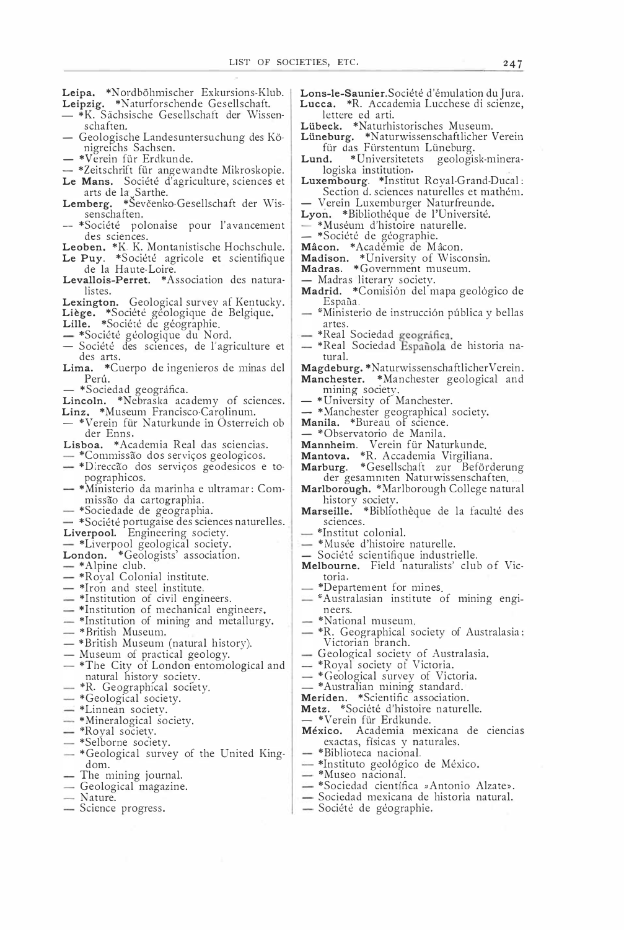- Leipa. \*Nordböhmischer Exkursions-Klub.
- Leipzig. \*Naturforschende Gesellschaft.
- \*K. Sächsische Gesellschaft der Wissenschaften.
- Geologische Landesuntersuchung des Königreichs Sachsen.
- \*Verein für Erdkunde.
- \*Zeitschrift für angewandte Mikroskopie.
- Le Mans. Société d'agriculture, sciences et Lemberg. \*Sevčenko-Gesellschaft der Wis-
- senschaften.
- -- \*Société polonaise pour l'avancement des sciences.
- 
- Leoben. \*K K. Montanistische Hochschule.<br>Le Puy. \*Société agricole et scientifique de la Haute-Loire.
- Levallois-Perret. \*Association des naturalistes.
- Lexington. Geological survey af Kentucky.
- Liège. \*Société géologique de Belgique.<br>Lille. \*Société de géographie.
- 
- \*Société géologique du Nord.
- Société des sciences, de l'agriculture et des arts.
- Lima. \*Cuerpo de ingenieros de minas del Perú.
- \*Sociedad geográfica.
- Lincoln. \*Nebraska academy of sciences.
- Linz. \*Museum Francisco-Carolinum. - \*Verein für Naturkunde in Österreich ob
- der Enns.
- Lisboa. \* Academia Real das sciencias. \*Commissão dos serviços geologicos.
- \*Direccão dos serviços geodesicos e topographicos.
- \*Ministerio da marinha e ultramar: Commissão da cartographia.
- \*Sociedade de geographia.
- \*Société portugaise des sciences naturelles.
- Liverpool. Engineering society.
- \*Liverpool geological society.
- London. \*Geologists' association.
- \*Alpine club.
- \*Royal Colonial institute.
- \*Iron and steel institute.
- \*Institution of civil engineers.
- \*Institution of mechanical engineers.
- \*Institution of mining and metallurgy.
- \*British Museum.
- \*British Museum (natural history).
- Museum of practical geology.
- $-$  \*The City of London entomological and natural history society.
- \*R. Geographical society.
- \*Geological society.
- \*Linnean society.
- \*Mineralogical society.
- \*Royal society.
- \*Selborne society.
- \*Geological survey of the United Kingdom.
- The mining journal.
- Geological magazine.
- Nature.
- Science progress.

Lons-le-Saunier. Société d'émulation du Jura. Lucca. \*R. Accademia Lucchese di scienze. lettere ed arti.

 $247$ 

- Lübeck. \*Naturhistorisches Museum.
- Lüneburg. \*Naturwissenschaftlicher Verein<br>für das Fürstentum Lüneburg.
- \*Universitetets geologisk-minera-Lund. logiska institution.
- Luxembourg. \*Institut Royal-Grand-Ducal:<br>Section d. sciences naturelles et mathém. - Verein Luxemburger Naturfreunde.
- Lyon. \*Bibliothéque de l'Université.
- \*Muséum d'histoire naturelle.
- 
- 
- Associété de géographie.<br>
Mâcon. \*Académie de Mâcon.<br>
Madison. \*University of Wisconsin.
- Madras. \*Government museum.
- 
- Madras literary society.<br>- Madras literary society.<br>Madrid. \*Comisión del mapa geológico de España.
- \*Ministerio de instrucción pública y bellas artes.
- 
- \*Real Sociedad geográfica.<br>- \*Real Sociedad Española de historia natural.
- Magdeburg. \*Naturwissenschaftlicher Verein.<br>Manchester. \*Manchester geological and
	- mining society.
- \*University of Manchester.
- \*Manchester geographical society.
- Manila. \*Bureau of science.
- \*Observatorio de Manila.
- 
- 
- Mannheim. Verein für Naturkunde.<br>
Mantova. \*R. Accademia Virgiliana.<br>
Marburg. \*Gesellschaft zur Beförderung der gesamniten Naturwissenschaften.
- Marlborough. \*Marlborough College natural<br>history society.<br>**Marseille.** \*Bibliothèque de la faculté des
- sciences.
	- \*Institut colonial.
- \*Musée d'histoire naturelle.
- Société scientifique industrielle.
- Melbourne. Field naturalists' club of Victoria.
- \*Departement for mines.
- -\*Australasian institute of mining engineers.
	- \*National museum.
- \*R. Geographical society of Australasia: Victorian branch.
- Geological society of Australasia.
- \*Royal society of Victoria.
- \*Geological survey of Victoria.
- \*Australian mining standard.
- 
- Meriden. \*Scientific association.<br>Meriden. \*Scientific association.<br>Metz. \*Société d'histoire naturelle.
- \*Verein für Erdkunde.
- México. Academia mexicana de ciencias exactas, físicas y naturales.
- \*Biblioteca nacional.
- \*Instituto geológico de México.
- \*Museo nacional.
- \*Sociedad científica »Antonio Alzate».
- Sociedad mexicana de historia natural. - Société de géographie.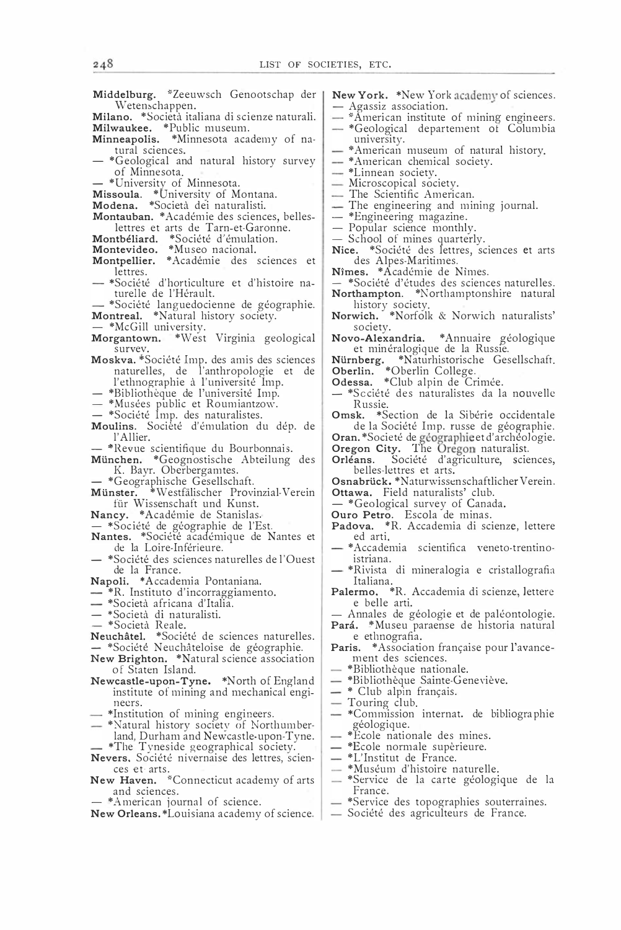- Middelburg. \*Zeeuwsch Genootschap der | Wetenschappen. Milano. \*Società italiana di scienze naturali. Milwaukee. \*Public museum. Minneapolis. \*Minnesota academy of natural sciences. \*Geological and natural history survey - \*Linnean society. of Minnesota. - \*University of Minnesota. Missoula. \*University of Montana.<br>Modena. \*Società dei naturalisti. Montauban. \* Académie des sciences, belleslettres et arts de Tarn-et-Garonne. Montbéliard. \*Société d'émulation. Montevideo. \*Museo nacional.<br>Montevideo. \*Museo nacional.<br>Montpellier. \*Académie des sciences et lettres. - \*Société d'horticulture et d'histoire naturelle de l'Hérault. - \*Société languedocienne de géographie.<br>Montreal. \*Natural history society. society. survey. Moskva. \*Société Imp. des amis des sciences naturelles, de l'anthropologie et de l'ethnographie à l'université Imp. - \*Bibliothèque de l'université Imp. - \*Musées public et Roumiantzow.<br>- \*Musées public et Roumiantzow.<br>- \*Société Imp. des naturalistes.<br>**Moulins**. Société d'émulation du dép. de Russie. l'Allier. - \*Revue scientifique du Bourbonnais. München. \*Geognostische Abteilung des K. Bayr. Oberbergamtes. belles-lettres et arts. \*Geographische Gesellschaft.<br>\*Geographische Gesellschaft.<br>**ünster.** \*Westfälischer Provinzial-Verein Münster. - \*Geological survey of Canada.<br>
Ouro Petro. Escola de minas.<br>
Padova. \*R. Accademia di scienze, lettere für Wissenschaft und Kunst. Nancy. \* Académie de Stanislas. - \*Société de géographie de l'Est.<br>Nantes. \*Société académique de Nantes et ed arti de la Loire-Inférieure. - \*Société des sciences naturelles de l'Ouest istriana. de la France. Napoli. \*Accademia Pontaniana. Italiana. \*R. Instituto d'incorraggiamento. - \*Società africana d'Italia. — \*Società di naturalisti.<br>— \*Società Reale. Neuchâtel. \*Société de sciences naturelles. \*Société Neuchâteloise de géographie. New Brighton. \*Natural science association of Staten Island. - \*Bibliothèque nationale.<br>- \*Bibliothèque Sainte-Geneviève. Newcastle-upon-Tyne. \*North of England institute of mining and mechanical engi-- Touring club. neers. - \*Institution of mining engineers. - \*Natural history society of Northumberland, Durham and Newcastle-upon-Tyne. - \*The Tyneside geographical society. Nevers, Société nivernaise des lettres, sciences et arts. New Haven. \*Connecticut academy of arts and sciences. \*American journal of science. New Orleans. \*Louisiana academy of science.
	- New York. \*New York academy of sciences. - Agassiz association.
	- \*American institute of mining engineers. - \*Geological departement of Columbia
	- university. - \*American museum of natural history.
	- \*American chemical society.
	-
	- Microscopical society.
	- The Scientific American.
	- The engineering and mining journal.
	- \*Engineering magazine.
	- Popular science monthly
	- School of mines quarterly.
	- Nice. \*Société des lettres, sciences et arts des Alpes-Maritimes.
	- Nîmes. \* Académie de Nîmes.
	- \*Société d'études des sciences naturelles.
	- Northampton. \*Northamptonshire natural history society.<br>
	Norwich. \*Norfolk & Norwich naturalists'
	-

Novo-Alexandria. \* Annuaire géologique et minéralogique de la Russie.

Nürnberg, \*Naturhistorische Gesellschaft.<br>
Oberlin. \*Oberlin College.<br>
Odessa. \*Club alpin de Crimée.

- 
- \*Société des naturalistes da la nouvelle
- Omsk. \*Section de la Sibérie occidentale de la Société Imp. russe de géographie.

Oran. \*Societé de géographie et d'archéologie.<br>Oregon City. The Oregon naturalist.

- Orléans. Société d'agriculture, sciences,
- Osnabrück. \*Naturwissenschaftlicher Verein. Ottawa. Field naturalists' club.
- 
- 
- 
- \*Accademia scientifica veneto-trentino-
- \*Rivista di mineralogia e cristallografia
- Palermo. \*R. Accademia di scienze, lettere e belle arti.
- 
- Annales de géologie et de paléontologie.<br>Pará. \*Museu paraense de historia natural<br>e ethnografia.
- Paris. \* Association française pour l'avancement des sciences.
- 
- 
- \* Club alpin français.
- 
- \*Commission internat. de bibliographie géologique.<br>\*Ecole nationale des mines.
- 
- \*Ecole normale supérieure.
- \*L'Institut de France.
- \*Muséum d'histoire naturelle.
- \*Service de la carte géologique de la<br>France.
- \*Service des topographies souterraines.
- Société des agriculteurs de France.

248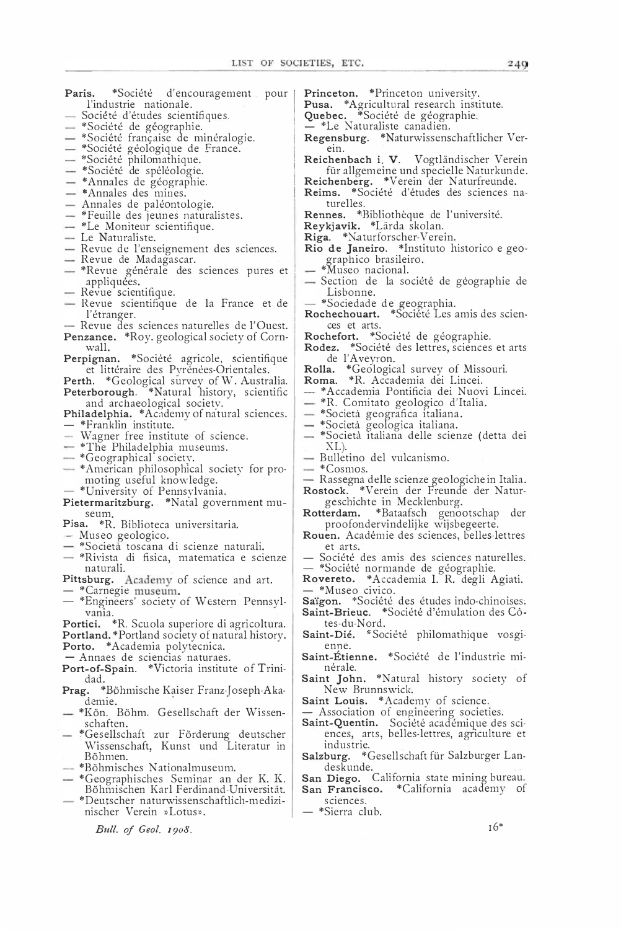- Paris. \*Société d'encouragement pour l'industrie nationale.
- Société d'études scientifiques.
- \*Société de géographie.
- \*Societe fran�aise de mineralogie.
- \*Societe geologique de France.
- \*Societe philomathiq u e.
- \*Societe de speleologie.
- \*Annales de géographie.
- \*Annales des mines.
- Annales de paléontologie.
- \*Feuille des jeunes naturalistes.
- \*Le Moniteur scientifique.
- Le Naturaliste.
- Revue de l'enseignement des sciences.
- Revue de Madagascar.
- \*Revue générale des sciences pures et appliquées.
- Revue scientifique.
- Revue scientifique de la France et de l'etranger.
- Revue des sciences naturelles de l'Ouest. Penzance. \*Roy. geological society of Corn-
- wall. Perpignan. \*Société agricole, scientifique et littéraire des Pyrénées-Orientales.
- Perth. \*Geological survey of W. Australia.
- Peterborough. \*Natural history, scientific and archaeological society.
- Philadelphia. \*Academy of natural sciences.  $-$  \*Franklin institute.
- Wagner free institute of science.
- \*The Philadelphia museums.
- \*Geographical society.
- \*American philosophical societv for promoting useful knowledge.
- \*University of Pennsylvania.
- Pietermaritzburg. \*Natal government museum.
- Pisa. \*R. Biblioteca universitaria.
- Museo geologico.
- \*Societa toscana di scienze naturali.
- \*Rivista di fisica, matematica e scienze naturali.
- Pittsburg. Academy of science and art. \* Carnegie museum.
- -- \*Engineers' societv of Western Pennsylvania.
- Portici. \*R. Scuola superiore di agricoltura. Portland. \* Portland society of natural history. Porto. \* Academia polytecnica.
- Annaes de sciencias naturaes.
- Port-of-Spain. \*Victoria institute of Trinidad.
- Prag. \*Böhmische Kaiser Franz-Joseph-Akademie.
- $*$ Kön. Böhm. Gesellschaft der Wissenschaften.
- \*Gesellschaft zur Förderung deutscher Wissenschaft, Kunst und Literatur in Böhmen.
- \*Böhmisches N ationalmuseum.
- \*Geographisches Seminar an der K. K. Böhmischen Karl Ferdinand-Universität.
- "'Deutscher n a turwissenschaftlich-medizinischer Verein »Lotus».

Bull. of Geol. 1908.

- Princeton. \*Princeton universitv.
- Pusa. \* Agricultural research institute.
- Quebec. \*Société de géographie.
- \*Le Naturaliste canadien.
- Regensburg. \*Naturwissenschaftlicher Verein.
- Reichenbach i. V. Vogtländischer Verein für allgemeine und specielle Naturkunde.
- Reichenberg. \*Verein der Naturfreunde.
- Reims. \*Société d'études des sciences naturelles.
- Rennes. \*Bibliothèque de l'université.
- Reykjavik. \*Lärda skolan.
- Riga. \*Naturforscher-Verein.
- Rio de Janeiro. \*Instituto historico e geographico brasileiro. \*Museo naciona l.
- 
- Section de la société de géographie de Lisbonne.
- 
- \*Sociedade de geographia.<br>**Rochechouart.** \*Société Les amis des sciences et arts.
- Rochefort. \*Société de géographie.
- Rodez. \*Société des lettres, sciences et arts de l'Aveyron.
- Rolla. \* Geological survey of Missouri.
- Roma. \* R. Accademia dei Lincei.
- \* Accademia Pontificia dei Nuovi Lincei.
- \*R. Comitato geologico d'Italia.
- \*Societa geografica italiana.
- \*Societa geologica italiana.
- \*Società italiana delle scienze (detta dei  $XL$ ).
- Bulletino del vulcanismo.
- \* Cosmos.
- Rassegna delle scienze geologichein Italia.<br>Rostock. \*Verein der Freunde der Natur-
- geschichte in Mecklenburg.
- Rotterdam. \*Bataafsch genootschap der proofondervindelijke wijsbegeerte.
- Rouen. Academie des sciences, belles-lettres et arts.
- Société des amis des sciences naturelles. — \*Société normande de géographie.
- Rovereto. \*Accademia I. R. degli Agiati. \*Museo civico.
- Saïgon. \*Société des études indo-chinoises. Saint-Brieuc. \*Société d'émulation des Côtes-du-Nord.
- Saint-Dié. \*Société philomathique vosgienne.
- Saint-Étienne. \*Société de l'industrie minérale.
- Saint John. \*Natural history society of New Brunnswick.

Saint Louis. \*Academy of science.

- $-$  Association of engineering societies.
- Saint-Quentin. Société académique des sciences, arts, belles-lettres, agriculture et industrie.
- Salzburg. \* Gesellschaft für Salzburger Landeskunde.
- San Diego. C alifornia state mining bureau. San Francisco. \* California academy of
- sciences. — \*Sierra club.
-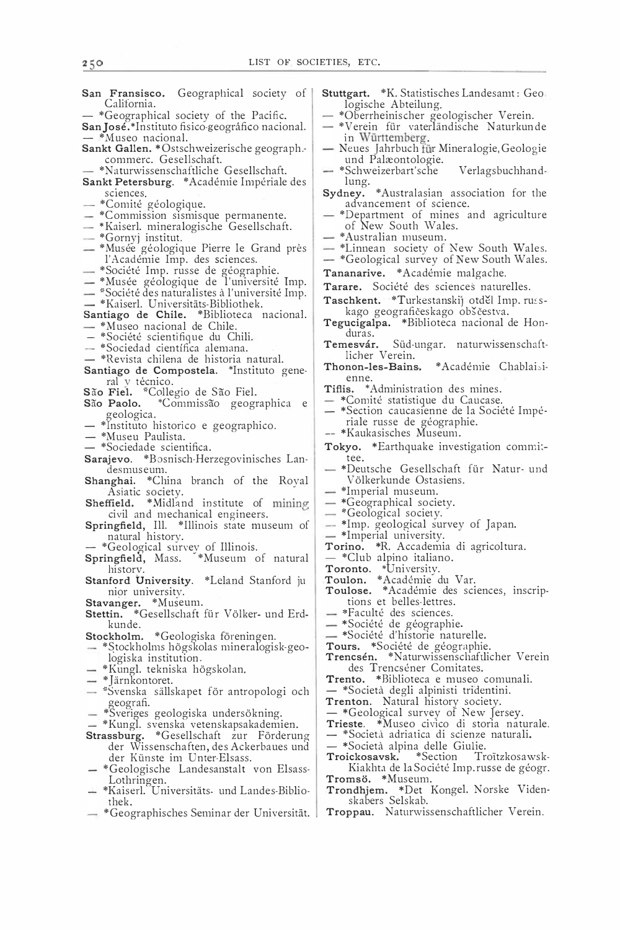San Fransisco. Geographical society of California.

- \*Geographical society of the Pacific.

San José.\*Instituto fisico-geográfico nacional.

- \*Musea nacional. Sankt Gallen. \* Ostschweizerische geograph. commerc. Gesellschaft.
	- \*Naturwissenschaftliche G esellschaft.
- Sankt Petersburg. \* Académie Impériale des sciences.
- \*Comité géologique.
- $-$  \*Commission sismisque permanente.
- \*Kaiserl. mineralogische Gesellschaft.
- \*Gornyj institut.
- \*Musée géologique Pierre le Grand près l'Académie Imp. des sciences.
- \*Société Imp. russe de géographie.
- \* Musee geologique de l'universite Imp.
- \*Société des naturalistes à l'université Imp.
- 
- \*Kaiseri. Universitats-Bibliothek.<br>**Santiago de Chile.** \*Biblioteca nacional. - \*Museo nacional de Chile.
- 
- \*Société scientifique du Chili.
- \*Sociedad científica alemana.
- \*Revista chilena de historia natural.
- Santiago de Compostela. \*Instituto general y técnico.
- São Fiel. \*Collegio de São Fiel.<br>São Paolo. \*Commissão geogr
- \*Commissão geographica e geologica.
- \*Instituto historico e geographico.
- \*Museu Paulista.
- \*Sociedade scientifica.
- Sarajevo. \*Bosnisch-Herzegovinisches Landesmuseum.
- Shanghai. \*China branch of the Rova! Asiatic society. Shanghai. "China branch of the Royal<br>
"Asiatic society.<br>
Sheffield. "Midland institute of mining
- 
- civil and mechanical engineers. Springfield, Ill. \* Illinois state museum of natural historv.
- \*Geological survey of Illinois.
- Springfield, Mass. \*Museum of natural historv.
- Stanford University. \*Leland Stanford ju
- nior universitv. Stavanger. \*Museum.
- Stettin. \*Gesellschaft für Völker- und Erdkunde.
- Stockholm. \* Geologiska föreningen.
- \*Stockholms högskolas mineralogisk-geologiska institution.
- \*Kungl. tekniska högskolan.
- $-$  \*Järnkontoret.
- "Svenska sällskapet för antropologi och geografi.
- \*Sveriges geologiska undersökning.
- \*Kungl. svenska vetenskapsakademien.
- Strassburg. \*Gesellschaft zur Förderung der Wissenschaften, des Ackerbaues und der Künste im Unter-Elsass.
- \* Geologische Landesanstalt von Elsass-Lothringen.
- $-$  \*Kaiserl. Universitäts- und Landes-Bibliothek.
- \* Geographisches Seminar der Universität.
- Stuttgart. \* K. Statistisches Landesamt: Geo
- logische Abteilung. \*Oberrheinischer geologischer Verein.
- \*Verein für vaterländische Naturkunde in Württemberg.
- Neues Jahrbuch für Mineralogie, Geologie und Palæontologie.
- \*Schweizerbart'sche Verlagsbuchhand-
- lung. Sydney. \*Australasian association for the advancement of science.
- \*Department of mines and agriculture of New South Wales.
- \* Australian museum.
- $*$ Linnean society of New South Wales.
- \*Geological survey of New South Wales.
- Tananarive. \* Académie malgache.
- Tarare. Société des sciences naturelles.
- Taschkent. \*Turkestanskij otděl Imp. russkago geografičeskago obščestva.
- Tegucigalpa. \*Biblioteca nacional de Honduras.<br>Temesvár.
- Süd-ungar. naturwissenschaftlicher Verein.
- Thonon-les-Bains. \* Académie Chablai,i-
- enne. Tiflis. \*Administration des mines.
- \*Comité statistique du Caucase.
- \*Section caucasienne de la Societe Imperiale russe de géographie.
- \*Kaukasisches Museum.
- Tokyo. \*Earthquake investigation commi: tee.
- \*Deutsche Gesellschaft für Natur- und V ölkerkunde Ostasiens.
- \*lmperial museum.
- \*Geographical society.
- \*Geological society.
- \*Imp. geological survey of Japan.
- \*Imperial university.
- Torino. \*R. Accademia di agricoltura.
- \*Club alpina italiano.
- Toronto. \*University.
- Toulon. \* Académie du Var.
- Toulose. \*Académie des sciences, inscriptions et belles-lettres.
- \*Faculté des sciences.
- \*Société de géographie.
- \*Société d'historie naturelle.
- Tours. \*Société de géographie.
- Trencsén. \*Naturwissenschaftlicher Verein des Trencséner Comitates.
- Trento. \*Biblioteca e museo comunali.
- \*So cietit degli alpinisti tri'dentini.
- Trenton. Natural history society.
- 
- \* Geological survey of New Jersey. Trieste. \*Musea civico di storia naturale.
- \*Società adriatica di scienze naturali.
- \*Società alpina delle Giulie.<br>Troickosavsk. \*Section Tr

Troitzkosawsk-Kiakhta de la Société Imp. russe de géogr. Tromsö. \*Museum.

- Trondhjem. \*Det Kongel. Norske Videnskabers Selskab.
- Troppau. Naturwissenschaftlicher Verein.